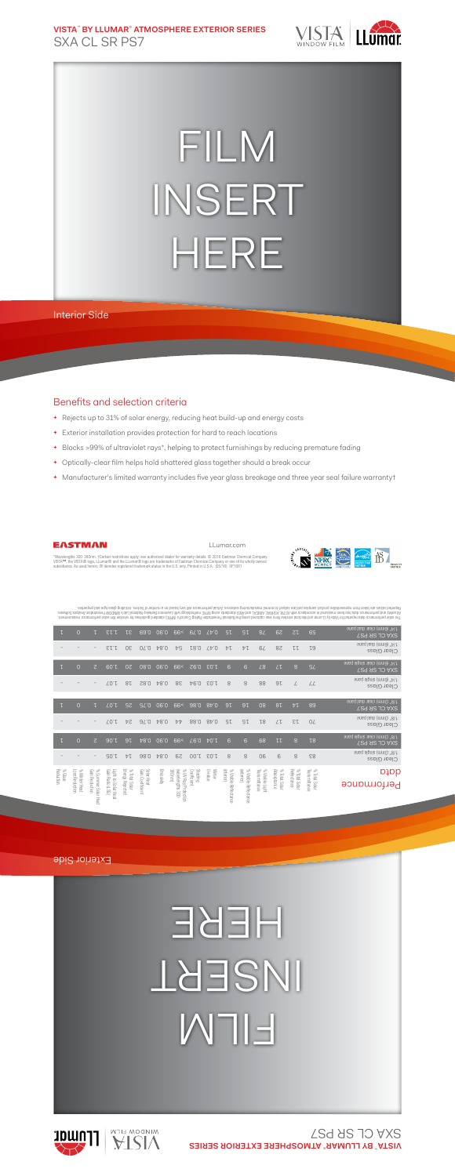**VISTA**™  **BY LLUMAR**® **ATMOSPHERE EXTERIOR SERIES** SXA CL SR PS7



## FILM INSERT HERE

Interior Side

## Benefits and selection criteria

- **+** Rejects up to 31% of solar energy, reducing heat build-up and energy costs
- **+** Exterior installation provides protection for hard to reach locations
- **+** Blocks >99% of ultraviolet rays\*, helping to protect furnishings by reducing premature fading
- **+** Optically-clear film helps hold shattered glass together should a break occur
- **+** Manufacturer's limited warranty includes five year glass breakage and three year seal failure warranty†



LLumar.com



\*Wavelengths 300-380nm. †Certain restrictions apply; see authorized dealer for warranty details. © 2016 Eastman Chemical Company.<br>VISTA™, the VISTA® logo, LLumar® and the LLumar® logo are trademarks of Eastman Chemical Co subsidiaries. As used herein, ® denotes registered trademark status in the U.S. only. Printed in U.S.A. (05/16) SP1061